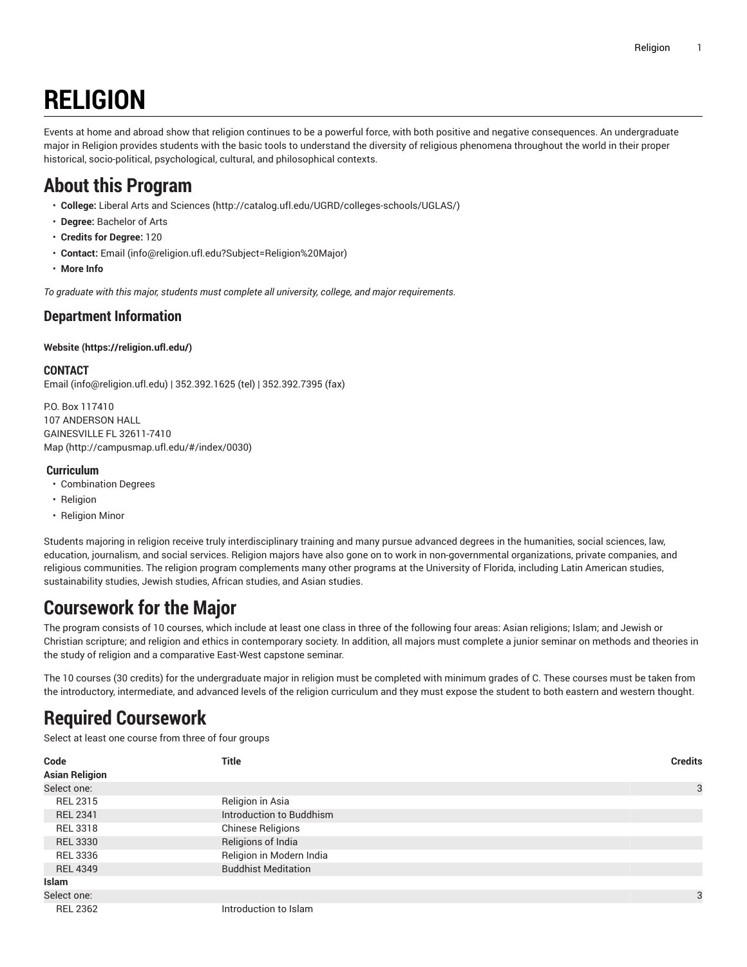# **RELIGION**

Events at home and abroad show that religion continues to be a powerful force, with both positive and negative consequences. An undergraduate major in Religion provides students with the basic tools to understand the diversity of religious phenomena throughout the world in their proper historical, socio-political, psychological, cultural, and philosophical contexts.

# **About this Program**

- **College:** Liberal Arts and [Sciences](http://catalog.ufl.edu/UGRD/colleges-schools/UGLAS/) ([http://catalog.ufl.edu/UGRD/colleges-schools/UGLAS/\)](http://catalog.ufl.edu/UGRD/colleges-schools/UGLAS/)
- **Degree:** Bachelor of Arts
- **Credits for Degree:** 120
- **Contact:** [Email](mailto:info@religion.ufl.edu?Subject=Religion%20Major) [\(info@religion.ufl.edu?Subject=Religion%20Major](info@religion.ufl.edu?Subject=Religion%20Major))
- **More Info**

*To graduate with this major, students must complete all university, college, and major requirements.*

#### **Department Information**

#### **[Website](https://religion.ufl.edu/) ([https://religion.ufl.edu/\)](https://religion.ufl.edu/)**

#### **CONTACT**

[Email](mailto:info@religion.ufl.edu) (<info@religion.ufl.edu>) | 352.392.1625 (tel) | 352.392.7395 (fax)

P.O. Box 117410 107 ANDERSON HALL GAINESVILLE FL 32611-7410 [Map](http://campusmap.ufl.edu/#/index/0030) ([http://campusmap.ufl.edu/#/index/0030\)](http://campusmap.ufl.edu/#/index/0030)

#### **Curriculum**

- Combination Degrees
- Religion
- Religion Minor

Students majoring in religion receive truly interdisciplinary training and many pursue advanced degrees in the humanities, social sciences, law, education, journalism, and social services. Religion majors have also gone on to work in non-governmental organizations, private companies, and religious communities. The religion program complements many other programs at the University of Florida, including Latin American studies, sustainability studies, Jewish studies, African studies, and Asian studies.

### **Coursework for the Major**

The program consists of 10 courses, which include at least one class in three of the following four areas: Asian religions; Islam; and Jewish or Christian scripture; and religion and ethics in contemporary society. In addition, all majors must complete a junior seminar on methods and theories in the study of religion and a comparative East-West capstone seminar.

The 10 courses (30 credits) for the undergraduate major in religion must be completed with minimum grades of C. These courses must be taken from the introductory, intermediate, and advanced levels of the religion curriculum and they must expose the student to both eastern and western thought.

# **Required Coursework**

Select at least one course from three of four groups

| Code                  | <b>Title</b>               | <b>Credits</b> |
|-----------------------|----------------------------|----------------|
| <b>Asian Religion</b> |                            |                |
| Select one:           |                            | 3              |
| <b>REL 2315</b>       | Religion in Asia           |                |
| <b>REL 2341</b>       | Introduction to Buddhism   |                |
| <b>REL 3318</b>       | <b>Chinese Religions</b>   |                |
| <b>REL 3330</b>       | Religions of India         |                |
| <b>REL 3336</b>       | Religion in Modern India   |                |
| <b>REL 4349</b>       | <b>Buddhist Meditation</b> |                |
| Islam                 |                            |                |
| Select one:           |                            | 3              |
| <b>REL 2362</b>       | Introduction to Islam      |                |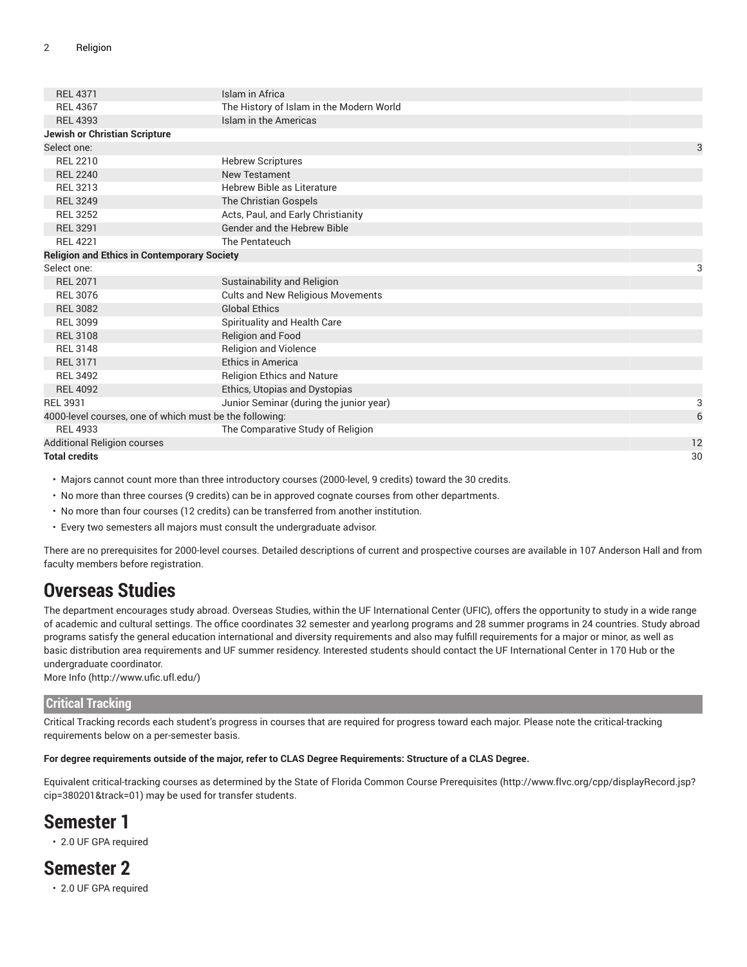| <b>REL 4371</b>                                         | Islam in Africa                          |    |  |  |
|---------------------------------------------------------|------------------------------------------|----|--|--|
| <b>REL 4367</b>                                         | The History of Islam in the Modern World |    |  |  |
| <b>REL 4393</b>                                         | <b>Islam in the Americas</b>             |    |  |  |
| Jewish or Christian Scripture                           |                                          |    |  |  |
| Select one:                                             |                                          | 3  |  |  |
| <b>REL 2210</b>                                         | <b>Hebrew Scriptures</b>                 |    |  |  |
| <b>REL 2240</b>                                         | <b>New Testament</b>                     |    |  |  |
| <b>REL 3213</b>                                         | <b>Hebrew Bible as Literature</b>        |    |  |  |
| <b>REL 3249</b>                                         | The Christian Gospels                    |    |  |  |
| <b>REL 3252</b>                                         | Acts, Paul, and Early Christianity       |    |  |  |
| <b>REL 3291</b>                                         | Gender and the Hebrew Bible              |    |  |  |
| <b>REL 4221</b>                                         | The Pentateuch                           |    |  |  |
| <b>Religion and Ethics in Contemporary Society</b>      |                                          |    |  |  |
| Select one:                                             |                                          | 3  |  |  |
| <b>REL 2071</b>                                         | Sustainability and Religion              |    |  |  |
| <b>REL 3076</b>                                         | Cults and New Religious Movements        |    |  |  |
| <b>REL 3082</b>                                         | <b>Global Ethics</b>                     |    |  |  |
| <b>REL 3099</b>                                         | Spirituality and Health Care             |    |  |  |
| <b>REL 3108</b>                                         | Religion and Food                        |    |  |  |
| <b>REL 3148</b>                                         | <b>Religion and Violence</b>             |    |  |  |
| <b>REL 3171</b>                                         | Ethics in America                        |    |  |  |
| <b>REL 3492</b>                                         | <b>Religion Ethics and Nature</b>        |    |  |  |
| <b>REL 4092</b>                                         | Ethics, Utopias and Dystopias            |    |  |  |
| <b>REL 3931</b>                                         | Junior Seminar (during the junior year)  | 3  |  |  |
| 4000-level courses, one of which must be the following: |                                          | 6  |  |  |
| <b>REL 4933</b>                                         | The Comparative Study of Religion        |    |  |  |
| <b>Additional Religion courses</b>                      |                                          | 12 |  |  |
| <b>Total credits</b>                                    |                                          | 30 |  |  |
|                                                         |                                          |    |  |  |

• Majors cannot count more than three introductory courses (2000-level, 9 credits) toward the 30 credits.

• No more than three courses (9 credits) can be in approved cognate courses from other departments.

• No more than four courses (12 credits) can be transferred from another institution.

• Every two semesters all majors must consult the undergraduate advisor.

There are no prerequisites for 2000-level courses. Detailed descriptions of current and prospective courses are available in 107 Anderson Hall and from faculty members before registration.

### **Overseas Studies**

The department encourages study abroad. Overseas Studies, within the UF International Center (UFIC), offers the opportunity to study in a wide range of academic and cultural settings. The office coordinates 32 semester and yearlong programs and 28 summer programs in 24 countries. Study abroad programs satisfy the general education international and diversity requirements and also may fulfill requirements for a major or minor, as well as basic distribution area requirements and UF summer residency. Interested students should contact the UF International Center in 170 Hub or the undergraduate coordinator.

[More](http://www.ufic.ufl.edu/) Info [\(http://www.ufic.ufl.edu/\)](http://www.ufic.ufl.edu/)

#### **Critical Tracking**

Critical Tracking records each student's progress in courses that are required for progress toward each major. Please note the critical-tracking requirements below on a per-semester basis.

#### For degree requirements outside of the major, refer to CLAS Degree Requirements: Structure of a CLAS Degree.

Equivalent critical-tracking courses as determined by the State of Florida Common Course [Prerequisites](http://www.flvc.org/cpp/displayRecord.jsp?cip=380201&track=01) ([http://www.flvc.org/cpp/displayRecord.jsp?](http://www.flvc.org/cpp/displayRecord.jsp?cip=380201&track=01) [cip=380201&track=01\)](http://www.flvc.org/cpp/displayRecord.jsp?cip=380201&track=01) may be used for transfer students.

### **Semester 1**

• 2.0 UF GPA required

**Semester 2**

• 2.0 UF GPA required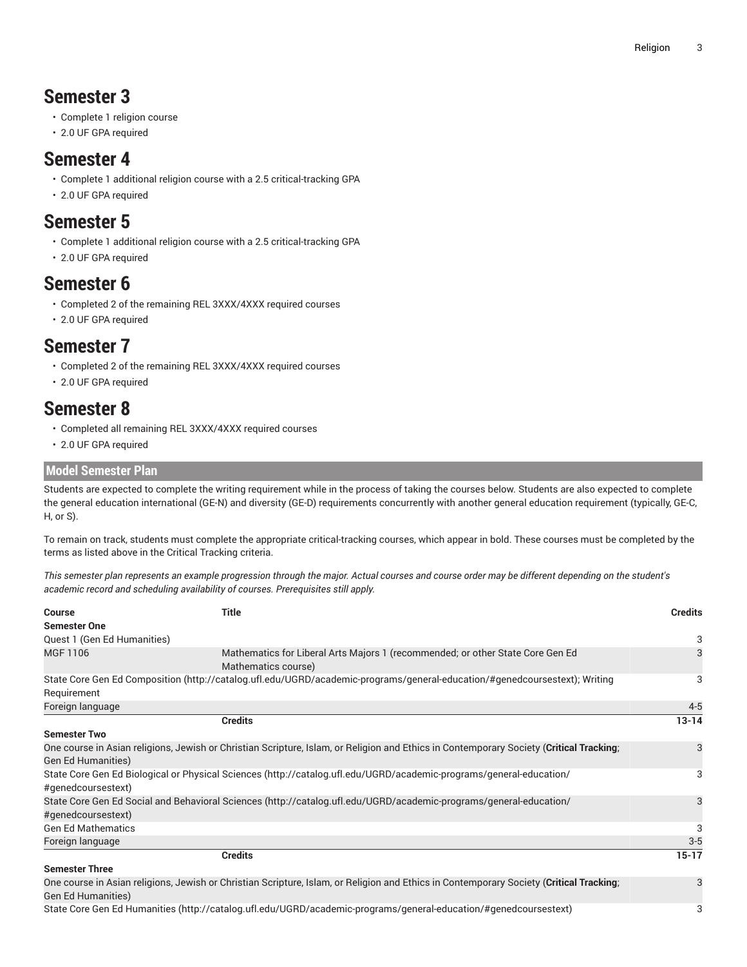### **Semester 3**

- Complete 1 religion course
- 2.0 UF GPA required

#### **Semester 4**

- Complete 1 additional religion course with a 2.5 critical-tracking GPA
- 2.0 UF GPA required

### **Semester 5**

- Complete 1 additional religion course with a 2.5 critical-tracking GPA
- 2.0 UF GPA required

### **Semester 6**

- Completed 2 of the remaining REL 3XXX/4XXX required courses
- 2.0 UF GPA required

# **Semester 7**

- Completed 2 of the remaining REL 3XXX/4XXX required courses
- 2.0 UF GPA required

# **Semester 8**

- Completed all remaining REL 3XXX/4XXX required courses
- 2.0 UF GPA required

#### **Model Semester Plan**

Students are expected to complete the writing requirement while in the process of taking the courses below. Students are also expected to complete the general education international (GE-N) and diversity (GE-D) requirements concurrently with another general education requirement (typically, GE-C, H, or S).

To remain on track, students must complete the appropriate critical-tracking courses, which appear in bold. These courses must be completed by the terms as listed above in the Critical Tracking criteria.

This semester plan represents an example progression through the major. Actual courses and course order may be different depending on the student's *academic record and scheduling availability of courses. Prerequisites still apply.*

| <b>Course</b>               | <b>Title</b>                                                                                                                            | <b>Credits</b> |
|-----------------------------|-----------------------------------------------------------------------------------------------------------------------------------------|----------------|
| <b>Semester One</b>         |                                                                                                                                         |                |
| Quest 1 (Gen Ed Humanities) |                                                                                                                                         | 3              |
| MGF 1106                    | Mathematics for Liberal Arts Majors 1 (recommended; or other State Core Gen Ed<br>Mathematics course)                                   | 3              |
|                             | State Core Gen Ed Composition (http://catalog.ufl.edu/UGRD/academic-programs/general-education/#genedcoursestext); Writing              | 3              |
| Requirement                 |                                                                                                                                         |                |
| Foreign language            |                                                                                                                                         | $4 - 5$        |
|                             | <b>Credits</b>                                                                                                                          | $13 - 14$      |
| <b>Semester Two</b>         |                                                                                                                                         |                |
|                             | One course in Asian religions, Jewish or Christian Scripture, Islam, or Religion and Ethics in Contemporary Society (Critical Tracking; | 3              |
| <b>Gen Ed Humanities)</b>   |                                                                                                                                         |                |
| #genedcoursestext)          | State Core Gen Ed Biological or Physical Sciences (http://catalog.ufl.edu/UGRD/academic-programs/general-education/                     | 3              |
| #genedcoursestext)          | State Core Gen Ed Social and Behavioral Sciences (http://catalog.ufl.edu/UGRD/academic-programs/general-education/                      | 3              |
| <b>Gen Ed Mathematics</b>   |                                                                                                                                         |                |
| Foreign language            |                                                                                                                                         | $3-5$          |
|                             | <b>Credits</b>                                                                                                                          | $15-17$        |
| <b>Semester Three</b>       |                                                                                                                                         |                |
| <b>Gen Ed Humanities</b> )  | One course in Asian religions, Jewish or Christian Scripture, Islam, or Religion and Ethics in Contemporary Society (Critical Tracking; | 3              |
|                             | State Core Gen Ed Humanities (http://catalog.ufl.edu/UGRD/academic-programs/general-education/#genedcoursestext)                        | 3              |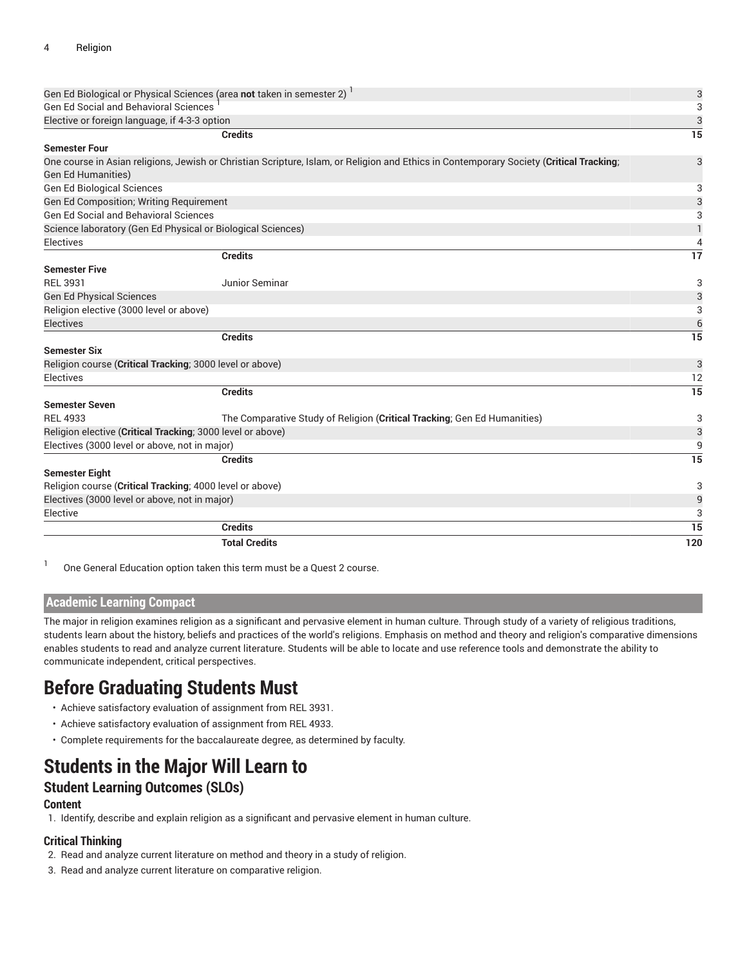| Gen Ed Biological or Physical Sciences (area not taken in semester 2) |                                                                                                                                         | 3                |  |
|-----------------------------------------------------------------------|-----------------------------------------------------------------------------------------------------------------------------------------|------------------|--|
| <b>Gen Ed Social and Behavioral Sciences</b>                          |                                                                                                                                         |                  |  |
| Elective or foreign language, if 4-3-3 option                         |                                                                                                                                         | 3                |  |
|                                                                       | <b>Credits</b>                                                                                                                          | 15               |  |
| <b>Semester Four</b>                                                  |                                                                                                                                         |                  |  |
|                                                                       | One course in Asian religions, Jewish or Christian Scripture, Islam, or Religion and Ethics in Contemporary Society (Critical Tracking; | 3                |  |
| <b>Gen Ed Humanities)</b>                                             |                                                                                                                                         |                  |  |
| Gen Ed Biological Sciences                                            |                                                                                                                                         | 3                |  |
| Gen Ed Composition; Writing Requirement                               |                                                                                                                                         | 3                |  |
| <b>Gen Ed Social and Behavioral Sciences</b>                          |                                                                                                                                         | 3                |  |
| Science laboratory (Gen Ed Physical or Biological Sciences)           |                                                                                                                                         | $\mathbf{1}$     |  |
| Electives                                                             |                                                                                                                                         | 4                |  |
|                                                                       | <b>Credits</b>                                                                                                                          | 17               |  |
| <b>Semester Five</b>                                                  |                                                                                                                                         |                  |  |
| <b>REL 3931</b>                                                       | Junior Seminar                                                                                                                          | 3                |  |
| <b>Gen Ed Physical Sciences</b>                                       |                                                                                                                                         | 3                |  |
| Religion elective (3000 level or above)                               |                                                                                                                                         | 3                |  |
| <b>Electives</b>                                                      |                                                                                                                                         | $\boldsymbol{6}$ |  |
|                                                                       | <b>Credits</b>                                                                                                                          | 15               |  |
| <b>Semester Six</b>                                                   |                                                                                                                                         |                  |  |
| Religion course (Critical Tracking; 3000 level or above)              |                                                                                                                                         | 3                |  |
| Electives                                                             |                                                                                                                                         | 12               |  |
|                                                                       | <b>Credits</b>                                                                                                                          | 15               |  |
| <b>Semester Seven</b>                                                 |                                                                                                                                         |                  |  |
| <b>REL 4933</b>                                                       | The Comparative Study of Religion (Critical Tracking, Gen Ed Humanities)                                                                | 3                |  |
| Religion elective (Critical Tracking; 3000 level or above)            |                                                                                                                                         | 3                |  |
| Electives (3000 level or above, not in major)                         |                                                                                                                                         | 9                |  |
|                                                                       | <b>Credits</b>                                                                                                                          | $\overline{15}$  |  |
| <b>Semester Eight</b>                                                 |                                                                                                                                         |                  |  |
| Religion course (Critical Tracking; 4000 level or above)              |                                                                                                                                         | 3                |  |
| Electives (3000 level or above, not in major)                         |                                                                                                                                         | 9                |  |
| Elective                                                              |                                                                                                                                         | 3                |  |
|                                                                       | <b>Credits</b>                                                                                                                          | 15               |  |
|                                                                       | <b>Total Credits</b>                                                                                                                    | 120              |  |
|                                                                       |                                                                                                                                         |                  |  |

1 One General Education option taken this term must be a Quest 2 course.

#### **Academic Learning Compact**

The major in religion examines religion as a significant and pervasive element in human culture. Through study of a variety of religious traditions, students learn about the history, beliefs and practices of the world's religions. Emphasis on method and theory and religion's comparative dimensions enables students to read and analyze current literature. Students will be able to locate and use reference tools and demonstrate the ability to communicate independent, critical perspectives.

### **Before Graduating Students Must**

- Achieve satisfactory evaluation of assignment from REL 3931.
- Achieve satisfactory evaluation of assignment from REL 4933.
- Complete requirements for the baccalaureate degree, as determined by faculty.

### **Students in the Major Will Learn to**

#### **Student Learning Outcomes (SLOs)**

#### **Content**

1. Identify, describe and explain religion as a significant and pervasive element in human culture.

#### **Critical Thinking**

- 2. Read and analyze current literature on method and theory in a study of religion.
- 3. Read and analyze current literature on comparative religion.